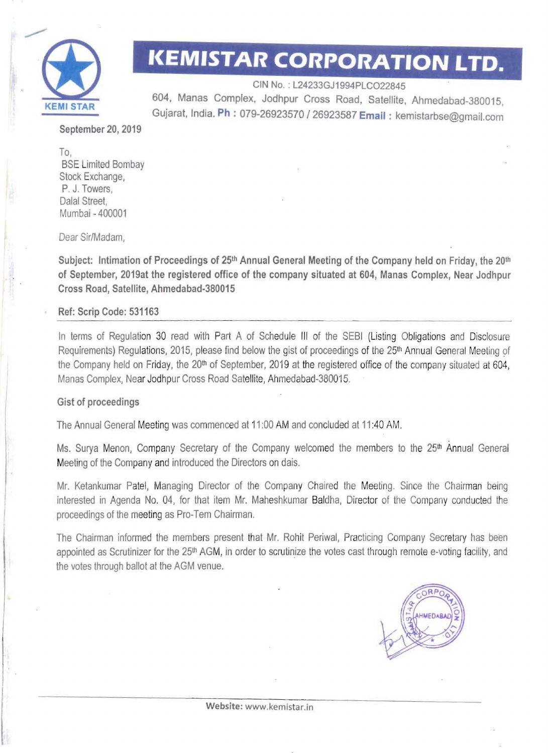

# **KEMISTAR CORPORATION LTD.**

CIN No. : L24233GJ1994PLC022845 604, Manas Complex, Jodhpur Cross Road, Satellite, Ahmedabad-380015, **KEMI STAR**  Gujarat, India. **Ph** : 079-26923570 I 26923587 **Email:** kemistarbse@gmail.com

September 20, 2019

To, **BSE Limited Bombay** Stock Exchange, P. J. Towers, Dalal Street, Mumbai - 400001

Dear Sir/Madam,

Subject: Intimation of Proceedings of 25<sup>th</sup> Annual General Meeting of the Company held on Friday, the 20<sup>th</sup> of September, 2019at the registered office of the company situated at 604, Manas Complex, Near Jodhpur Cross Road, Satellite, Ahmedabad-380015

#### Ref: Scrip Code: 531163

In terms of Regulation 30 read with Part A of Schedule III of the SEBI (Listing Obligations and Disclosure Requirements) Regulations, 2015, please find below the gist of proceedings of the 25<sup>th</sup> Annual General Meeting of the Company held on Friday, the 20<sup>th</sup> of September, 2019 at the registered office of the company situated at 604, Manas Complex, Near Jodhpur Cross Road Satellite, Ahmedabad-380015.

#### Gist of proceedings

The Annual General Meeting was commenced at 11 :00 AM and concluded at 11 :40 AM.

Ms. Surya Menon, Company Secretary of the Company welcomed the members to the 25<sup>th</sup> Annual General Meeting of the Company and introduced the Directors on dais.

Mr. Ketankumar Patel, Managing Director of the Company Chaired the Meeting. Since the Chairman being interested in Agenda No. 04, for that item Mr. Maheshkumar Baldha, Director of the Company conducted the proceedings of the meeting as Pro-Tem Chairman.

The Chairman informed the members present that Mr. Rohit Periwal, Practicing Company Secretary has been appointed as Scrutinizer for the 25<sup>th</sup> AGM, in order to scrutinize the votes cast through remote e-voting facility, and the votes through ballot at the AGM venue.